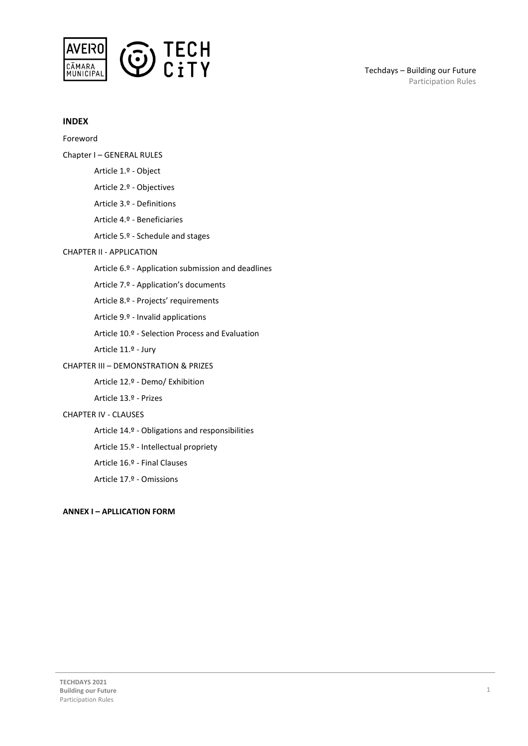

## **INDEX**

Foreword Chapter I – GENERAL RULES Article 1.º - Object Article 2.º - Objectives Article 3.º - Definitions Article 4.º - Beneficiaries Article 5.º - Schedule and stages CHAPTER II - APPLICATION Article 6.º - Application submission and deadlines Article 7.º - Application's documents Article 8.º - Projects' requirements Article 9.º - Invalid applications Article 10.º - Selection Process and Evaluation Article 11.º - Jury CHAPTER III – DEMONSTRATION & PRIZES Article 12.º - Demo/ Exhibition

Article 13.º - Prizes

#### CHAPTER IV - CLAUSES

Article 14.º - Obligations and responsibilities

Article 15.º - Intellectual propriety

Article 16.º - Final Clauses

Article 17.º - Omissions

#### **ANNEX I – APLLICATION FORM**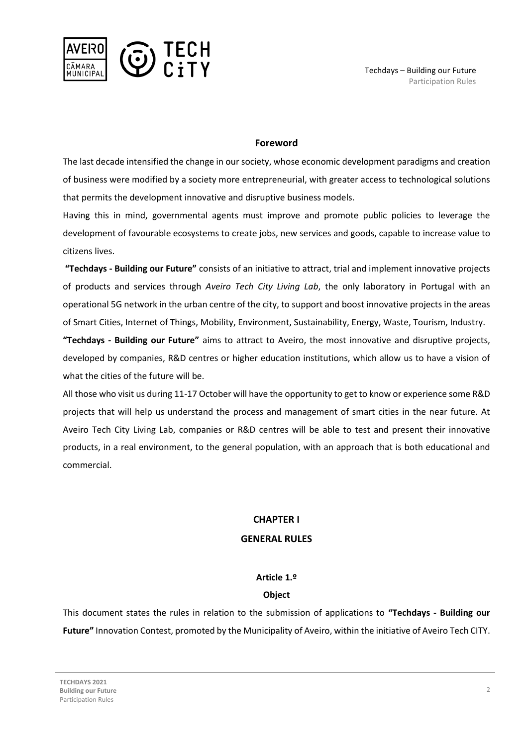

## **Foreword**

The last decade intensified the change in our society, whose economic development paradigms and creation of business were modified by a society more entrepreneurial, with greater access to technological solutions that permits the development innovative and disruptive business models.

Having this in mind, governmental agents must improve and promote public policies to leverage the development of favourable ecosystems to create jobs, new services and goods, capable to increase value to citizens lives.

**"Techdays - Building our Future"** consists of an initiative to attract, trial and implement innovative projects of products and services through *Aveiro Tech City Living Lab*, the only laboratory in Portugal with an operational 5G network in the urban centre of the city, to support and boost innovative projects in the areas of Smart Cities, Internet of Things, Mobility, Environment, Sustainability, Energy, Waste, Tourism, Industry.

**"Techdays - Building our Future"** aims to attract to Aveiro, the most innovative and disruptive projects, developed by companies, R&D centres or higher education institutions, which allow us to have a vision of what the cities of the future will be.

All those who visit us during 11-17 October will have the opportunity to get to know or experience some R&D projects that will help us understand the process and management of smart cities in the near future. At Aveiro Tech City Living Lab, companies or R&D centres will be able to test and present their innovative products, in a real environment, to the general population, with an approach that is both educational and commercial.

## **CHAPTER I**

## **GENERAL RULES**

## **Article 1.º**

## **Object**

This document states the rules in relation to the submission of applications to **"Techdays - Building our Future"** Innovation Contest, promoted by the Municipality of Aveiro, within the initiative of Aveiro Tech CITY.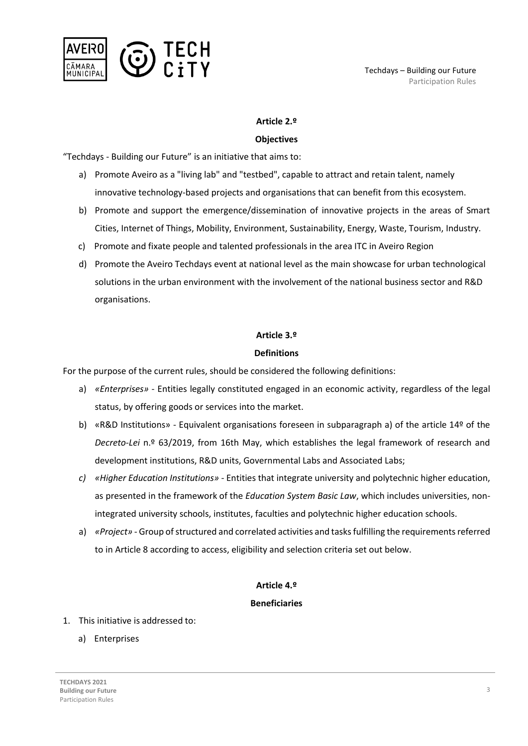

## **Article 2.º**

## **Objectives**

"Techdays - Building our Future" is an initiative that aims to:

- a) Promote Aveiro as a "living lab" and "testbed", capable to attract and retain talent, namely innovative technology-based projects and organisations that can benefit from this ecosystem.
- b) Promote and support the emergence/dissemination of innovative projects in the areas of Smart Cities, Internet of Things, Mobility, Environment, Sustainability, Energy, Waste, Tourism, Industry.
- c) Promote and fixate people and talented professionals in the area ITC in Aveiro Region
- d) Promote the Aveiro Techdays event at national level as the main showcase for urban technological solutions in the urban environment with the involvement of the national business sector and R&D organisations.

## **Article 3.º**

## **Definitions**

For the purpose of the current rules, should be considered the following definitions:

- a) *«Enterprises»* Entities legally constituted engaged in an economic activity, regardless of the legal status, by offering goods or services into the market.
- b) «R&D Institutions» Equivalent organisations foreseen in subparagraph a) of the article 14º of the *Decreto-Lei* n.º 63/2019, from 16th May, which establishes the legal framework of research and development institutions, R&D units, Governmental Labs and Associated Labs;
- *c) «Higher Education Institutions»* Entities that integrate university and polytechnic higher education, as presented in the framework of the *Education System Basic Law*, which includes universities, nonintegrated university schools, institutes, faculties and polytechnic higher education schools.
- a) *«Project»* Group of structured and correlated activities and tasks fulfilling the requirements referred to in Article 8 according to access, eligibility and selection criteria set out below.

## **Article 4.º**

## **Beneficiaries**

- 1. This initiative is addressed to:
	- a) Enterprises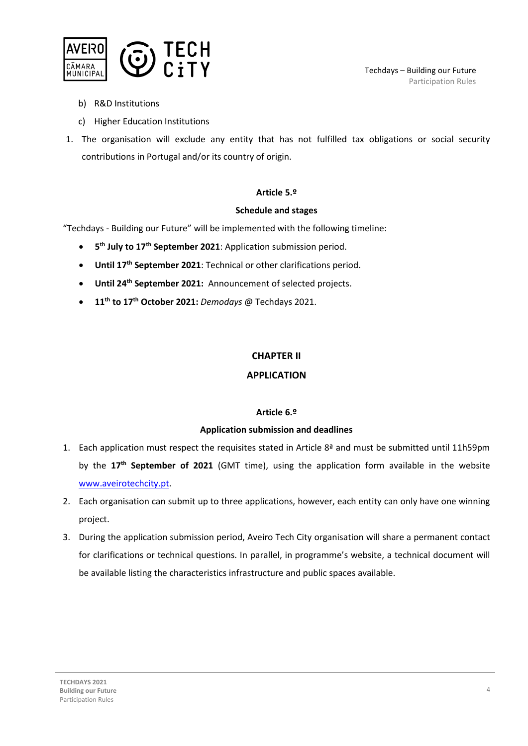

- b) R&D Institutions
- c) Higher Education Institutions
- 1. The organisation will exclude any entity that has not fulfilled tax obligations or social security contributions in Portugal and/or its country of origin.

## **Article 5.º**

#### **Schedule and stages**

"Techdays - Building our Future" will be implemented with the following timeline:

- **5<sup>th</sup> July to 17<sup>th</sup> September 2021**: Application submission period.
- **Until 17th September 2021**: Technical or other clarifications period.
- **Until 24th September 2021:** Announcement of selected projects.
- **11 th to 17th October 2021:** *Demodays* @ Techdays 2021.

## **CHAPTER II**

## **APPLICATION**

## **Article 6.º**

## **Application submission and deadlines**

- 1. Each application must respect the requisites stated in Article  $8<sup>2</sup>$  and must be submitted until 11h59pm by the **17th September of 2021** (GMT time), using the application form available in the website [www.aveirotechcity.pt.](http://www.aveirotechcity.pt/)
- 2. Each organisation can submit up to three applications, however, each entity can only have one winning project.
- 3. During the application submission period, Aveiro Tech City organisation will share a permanent contact for clarifications or technical questions. In parallel, in programme's website, a technical document will be available listing the characteristics infrastructure and public spaces available.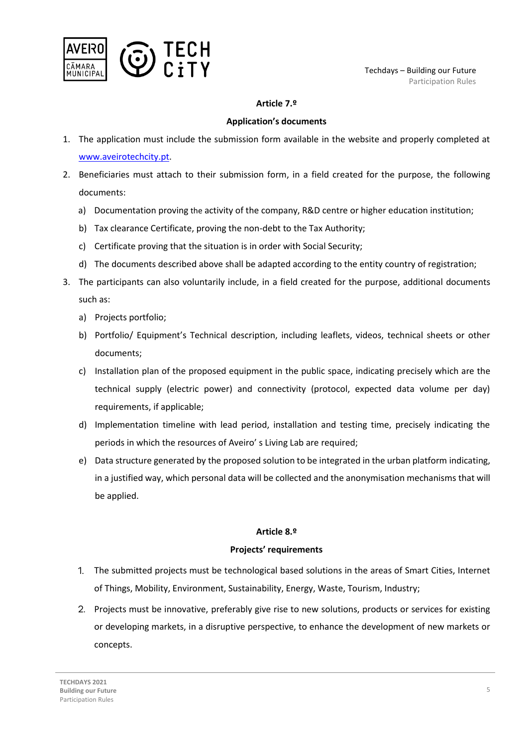

## **Article 7.º**

## **Application's documents**

- 1. The application must include the submission form available in the website and properly completed at [www.aveirotechcity.pt.](http://www.aveirotechcity.pt/)
- 2. Beneficiaries must attach to their submission form, in a field created for the purpose, the following documents:
	- a) Documentation proving the activity of the company, R&D centre or higher education institution;
	- b) Tax clearance Certificate, proving the non-debt to the Tax Authority;
	- c) Certificate proving that the situation is in order with Social Security;
	- d) The documents described above shall be adapted according to the entity country of registration;
- 3. The participants can also voluntarily include, in a field created for the purpose, additional documents such as:
	- a) Projects portfolio;
	- b) Portfolio/ Equipment's Technical description, including leaflets, videos, technical sheets or other documents;
	- c) Installation plan of the proposed equipment in the public space, indicating precisely which are the technical supply (electric power) and connectivity (protocol, expected data volume per day) requirements, if applicable;
	- d) Implementation timeline with lead period, installation and testing time, precisely indicating the periods in which the resources of Aveiro' s Living Lab are required;
	- e) Data structure generated by the proposed solution to be integrated in the urban platform indicating, in a justified way, which personal data will be collected and the anonymisation mechanisms that will be applied.

## **Article 8.º**

## **Projects' requirements**

- The submitted projects must be technological based solutions in the areas of Smart Cities, Internet of Things, Mobility, Environment, Sustainability, Energy, Waste, Tourism, Industry;
- 2. Projects must be innovative, preferably give rise to new solutions, products or services for existing or developing markets, in a disruptive perspective, to enhance the development of new markets or concepts.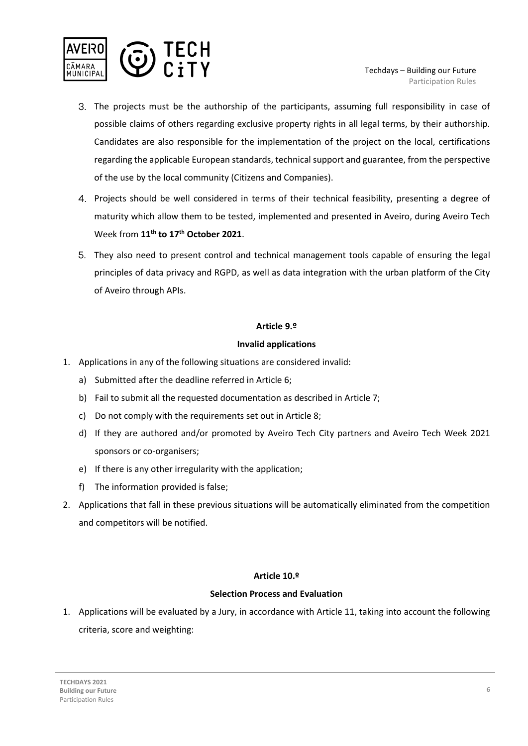

- The projects must be the authorship of the participants, assuming full responsibility in case of possible claims of others regarding exclusive property rights in all legal terms, by their authorship. Candidates are also responsible for the implementation of the project on the local, certifications regarding the applicable European standards, technical support and guarantee, from the perspective of the use by the local community (Citizens and Companies).
- Projects should be well considered in terms of their technical feasibility, presenting a degree of maturity which allow them to be tested, implemented and presented in Aveiro, during Aveiro Tech Week from **11th to 17th October 2021**.
- They also need to present control and technical management tools capable of ensuring the legal principles of data privacy and RGPD, as well as data integration with the urban platform of the City of Aveiro through APIs.

## **Article 9.º**

## **Invalid applications**

- 1. Applications in any of the following situations are considered invalid:
	- a) Submitted after the deadline referred in Article 6;
	- b) Fail to submit all the requested documentation as described in Article 7;
	- c) Do not comply with the requirements set out in Article 8;
	- d) If they are authored and/or promoted by Aveiro Tech City partners and Aveiro Tech Week 2021 sponsors or co-organisers;
	- e) If there is any other irregularity with the application;
	- f) The information provided is false;
- 2. Applications that fall in these previous situations will be automatically eliminated from the competition and competitors will be notified.

## **Article 10.º**

## **Selection Process and Evaluation**

1. Applications will be evaluated by a Jury, in accordance with Article 11, taking into account the following criteria, score and weighting: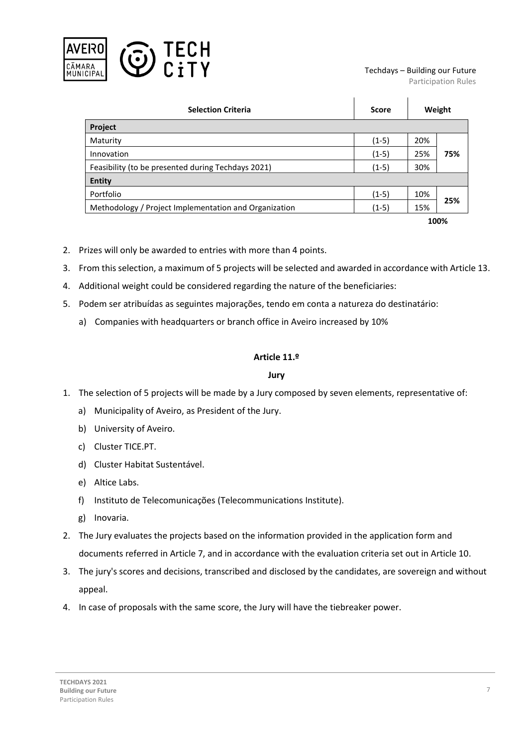

#### Techdays – Building our Future

Participation Rules

| <b>Selection Criteria</b>                             | <b>Score</b> | Weight |     |  |
|-------------------------------------------------------|--------------|--------|-----|--|
| <b>Project</b>                                        |              |        |     |  |
| Maturity                                              | $(1-5)$      | 20%    |     |  |
| Innovation                                            | $(1-5)$      | 25%    | 75% |  |
| Feasibility (to be presented during Techdays 2021)    | $(1-5)$      | 30%    |     |  |
| <b>Entity</b>                                         |              |        |     |  |
| Portfolio                                             | $(1-5)$      | 10%    | 25% |  |
| Methodology / Project Implementation and Organization | $(1-5)$      | 15%    |     |  |
|                                                       |              | 100%   |     |  |

- 2. Prizes will only be awarded to entries with more than 4 points.
- 3. From this selection, a maximum of 5 projects will be selected and awarded in accordance with Article 13.
- 4. Additional weight could be considered regarding the nature of the beneficiaries:
- 5. Podem ser atribuídas as seguintes majorações, tendo em conta a natureza do destinatário:
	- a) Companies with headquarters or branch office in Aveiro increased by 10%

## **Article 11.º**

## **Jury**

- 1. The selection of 5 projects will be made by a Jury composed by seven elements, representative of:
	- a) Municipality of Aveiro, as President of the Jury.
	- b) University of Aveiro.
	- c) Cluster TICE.PT.
	- d) Cluster Habitat Sustentável.
	- e) Altice Labs.
	- f) Instituto de Telecomunicações (Telecommunications Institute).
	- g) Inovaria.
- 2. The Jury evaluates the projects based on the information provided in the application form and documents referred in Article 7, and in accordance with the evaluation criteria set out in Article 10.
- 3. The jury's scores and decisions, transcribed and disclosed by the candidates, are sovereign and without appeal.
- 4. In case of proposals with the same score, the Jury will have the tiebreaker power.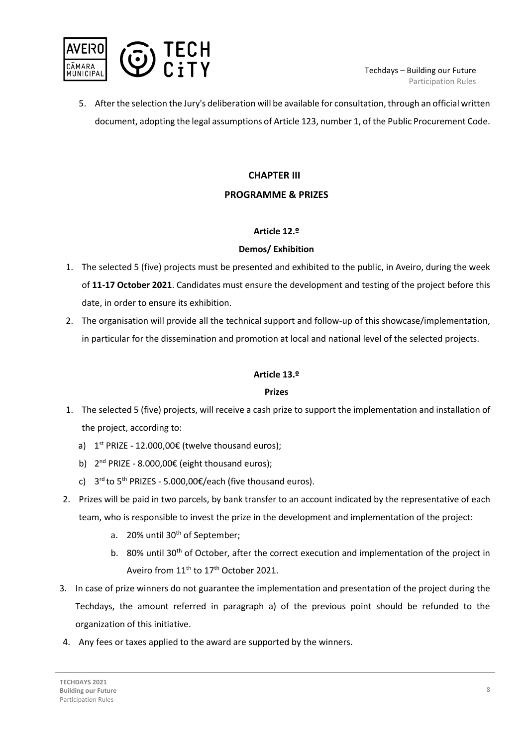

5. After the selection the Jury's deliberation will be available for consultation, through an official written document, adopting the legal assumptions of Article 123, number 1, of the Public Procurement Code.

# **CHAPTER III**

## **PROGRAMME & PRIZES**

## **Article 12.º**

## **Demos/ Exhibition**

- 1. The selected 5 (five) projects must be presented and exhibited to the public, in Aveiro, during the week of **11-17 October 2021**. Candidates must ensure the development and testing of the project before this date, in order to ensure its exhibition.
- 2. The organisation will provide all the technical support and follow-up of this showcase/implementation, in particular for the dissemination and promotion at local and national level of the selected projects.

## **Article 13.º**

## **Prizes**

- 1. The selected 5 (five) projects, will receive a cash prize to support the implementation and installation of the project, according to:
	- a)  $1<sup>st</sup> PRIZE 12.000,00€$  (twelve thousand euros);
	- b) 2<sup>nd</sup> PRIZE 8.000,00€ (eight thousand euros);
	- c)  $3^{rd}$  to  $5^{th}$  PRIZES 5.000,00€/each (five thousand euros).
- 2. Prizes will be paid in two parcels, by bank transfer to an account indicated by the representative of each team, who is responsible to invest the prize in the development and implementation of the project:
	- a. 20% until 30<sup>th</sup> of September;
	- b. 80% until 30<sup>th</sup> of October, after the correct execution and implementation of the project in Aveiro from 11<sup>th</sup> to 17<sup>th</sup> October 2021.
- 3. In case of prize winners do not guarantee the implementation and presentation of the project during the Techdays, the amount referred in paragraph a) of the previous point should be refunded to the organization of this initiative.
- 4. Any fees or taxes applied to the award are supported by the winners.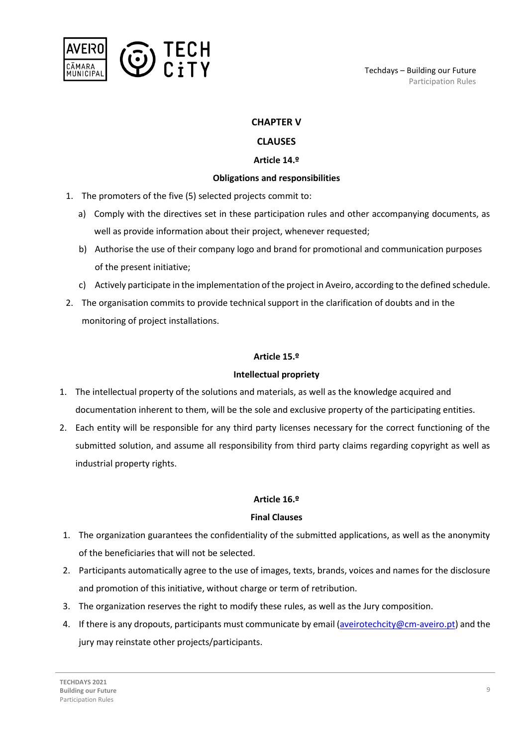

## **CHAPTER V**

## **CLAUSES**

## **Article 14.º**

## **Obligations and responsibilities**

- 1. The promoters of the five (5) selected projects commit to:
	- a) Comply with the directives set in these participation rules and other accompanying documents, as well as provide information about their project, whenever requested;
	- b) Authorise the use of their company logo and brand for promotional and communication purposes of the present initiative;
	- c) Actively participate in the implementation of the project in Aveiro, according to the defined schedule.
- 2. The organisation commits to provide technical support in the clarification of doubts and in the monitoring of project installations.

#### **Article 15.º**

## **Intellectual propriety**

- 1. The intellectual property of the solutions and materials, as well as the knowledge acquired and documentation inherent to them, will be the sole and exclusive property of the participating entities.
- 2. Each entity will be responsible for any third party licenses necessary for the correct functioning of the submitted solution, and assume all responsibility from third party claims regarding copyright as well as industrial property rights.

## **Article 16.º**

## **Final Clauses**

- 1. The organization guarantees the confidentiality of the submitted applications, as well as the anonymity of the beneficiaries that will not be selected.
- 2. Participants automatically agree to the use of images, texts, brands, voices and names for the disclosure and promotion of this initiative, without charge or term of retribution.
- 3. The organization reserves the right to modify these rules, as well as the Jury composition.
- 4. If there is any dropouts, participants must communicate by email [\(aveirotechcity@cm-aveiro.pt\)](mailto:aveirotechcity@cm-aveiro.pt) and the jury may reinstate other projects/participants.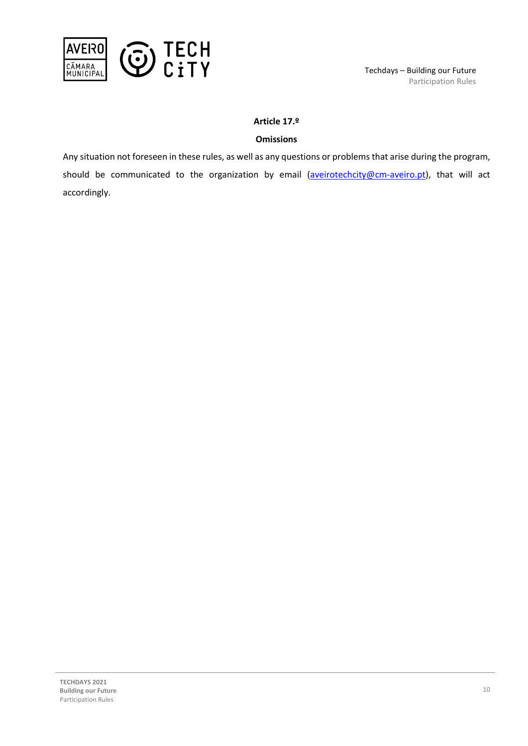

## **Article 17.º**

## **Omissions**

Any situation not foreseen in these rules, as well as any questions or problems that arise during the program, should be communicated to the organization by email (aveirotechcity@cm-aveiro.pt), that will act accordingly.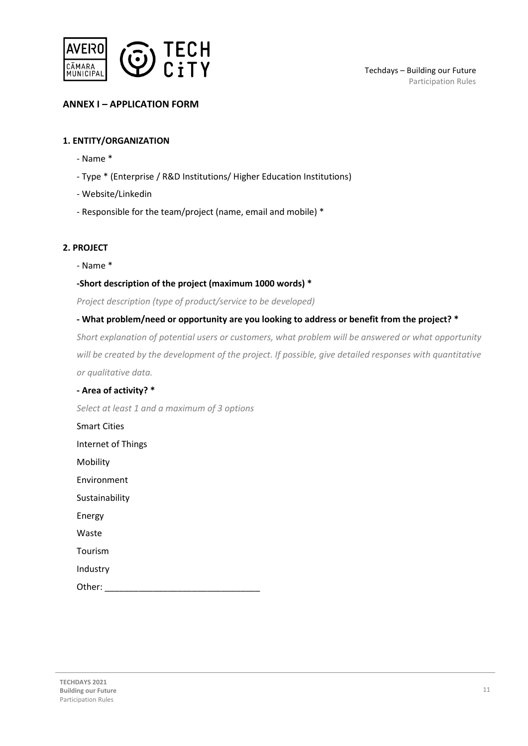

## **ANNEX I – APPLICATION FORM**

## **1. ENTITY/ORGANIZATION**

- Name \*
- Type \* (Enterprise / R&D Institutions/ Higher Education Institutions)
- Website/Linkedin
- Responsible for the team/project (name, email and mobile) \*

## **2. PROJECT**

- Name \*

## **-Short description of the project (maximum 1000 words) \***

*Project description (type of product/service to be developed)*

## **- What problem/need or opportunity are you looking to address or benefit from the project? \***

*Short explanation of potential users or customers, what problem will be answered or what opportunity will be created by the development of the project. If possible, give detailed responses with quantitative or qualitative data.*

#### **- Area of activity? \***

*Select at least 1 and a maximum of 3 options*

Smart Cities Internet of Things Mobility Environment Sustainability Energy

Waste

Tourism

Industry

Other: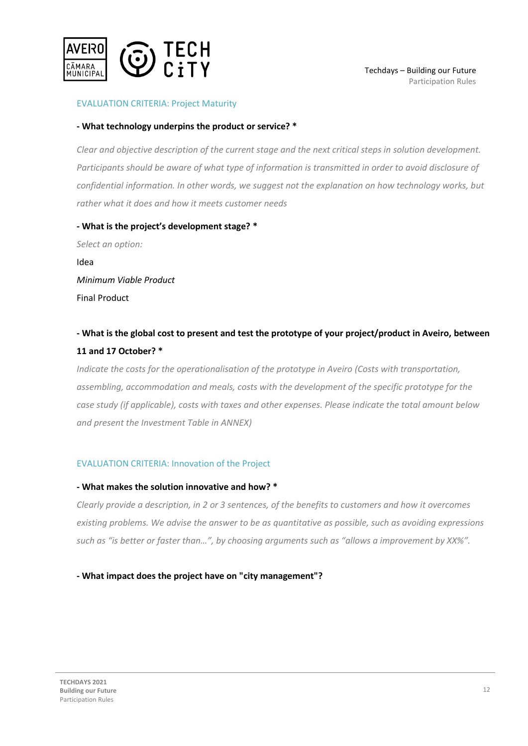

## EVALUATION CRITERIA: Project Maturity

#### **- What technology underpins the product or service? \***

*Clear and objective description of the current stage and the next critical steps in solution development. Participants should be aware of what type of information is transmitted in order to avoid disclosure of confidential information. In other words, we suggest not the explanation on how technology works, but rather what it does and how it meets customer needs*

## **- What is the project's development stage? \*** *Select an option:*

Idea *Minimum Viable Product* Final Product

## **- What is the global cost to present and test the prototype of your project/product in Aveiro, between 11 and 17 October? \***

*Indicate the costs for the operationalisation of the prototype in Aveiro (Costs with transportation, assembling, accommodation and meals, costs with the development of the specific prototype for the case study (if applicable), costs with taxes and other expenses. Please indicate the total amount below and present the Investment Table in ANNEX)*

## EVALUATION CRITERIA: Innovation of the Project

#### **- What makes the solution innovative and how? \***

*Clearly provide a description, in 2 or 3 sentences, of the benefits to customers and how it overcomes existing problems. We advise the answer to be as quantitative as possible, such as avoiding expressions such as "is better or faster than…", by choosing arguments such as "allows a improvement by XX%".*

## **- What impact does the project have on "city management"?**